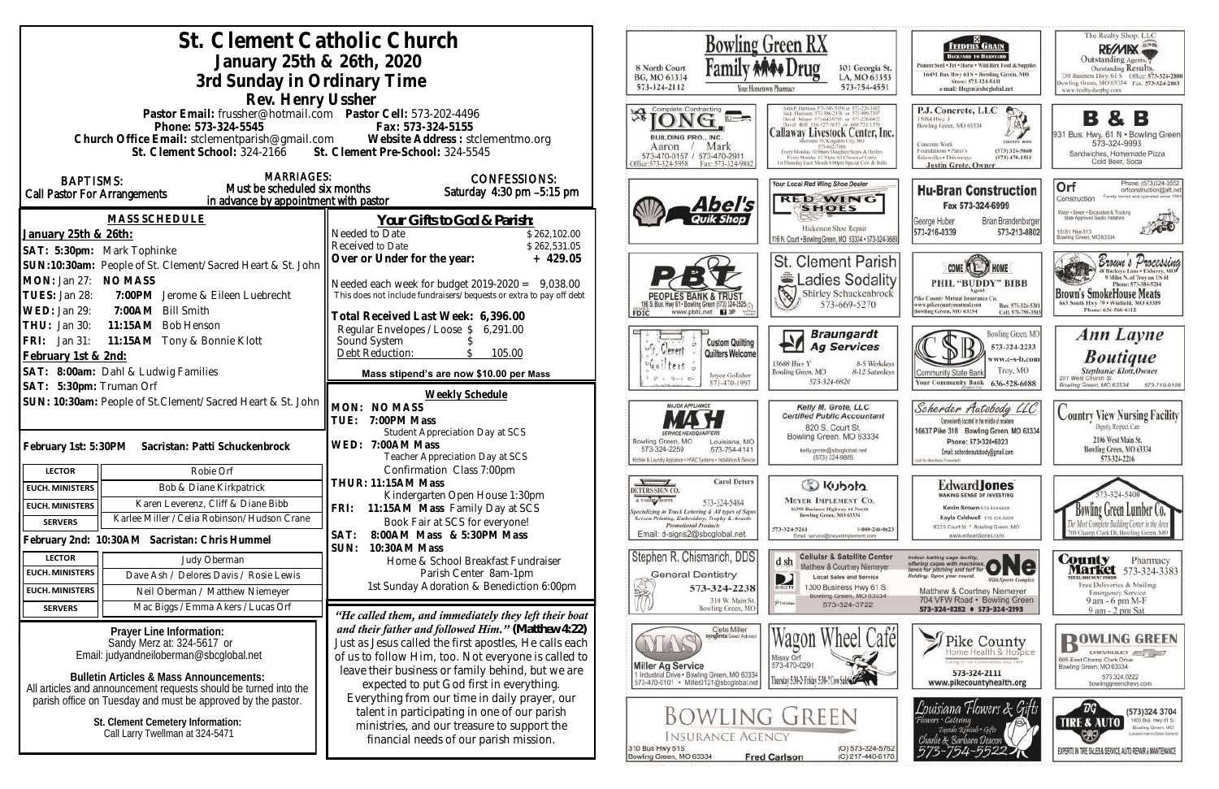|                                                                                                                                                                                                                                                                                                                                                                      | St. Clement Catholic Church<br>January 25th & 26th, 2020<br>3rd Sunday in Ordinary Time<br>Rev. Henry Ussher                                                                                                                                                                                                                                                        |                                                                                                                                                                                                                                                                                                                                                                                                                                                                                                                                  | <b>Bowling Green RX</b><br>8 North Court<br>BG, MO 63334<br>573-324-2112<br>Your Hontetown Pharmacy                                                                                                                                                                           | 301 Georgia St.<br>LA, MO 63353<br>573-754-4551                                                                                                                                                                                                                              |
|----------------------------------------------------------------------------------------------------------------------------------------------------------------------------------------------------------------------------------------------------------------------------------------------------------------------------------------------------------------------|---------------------------------------------------------------------------------------------------------------------------------------------------------------------------------------------------------------------------------------------------------------------------------------------------------------------------------------------------------------------|----------------------------------------------------------------------------------------------------------------------------------------------------------------------------------------------------------------------------------------------------------------------------------------------------------------------------------------------------------------------------------------------------------------------------------------------------------------------------------------------------------------------------------|-------------------------------------------------------------------------------------------------------------------------------------------------------------------------------------------------------------------------------------------------------------------------------|------------------------------------------------------------------------------------------------------------------------------------------------------------------------------------------------------------------------------------------------------------------------------|
|                                                                                                                                                                                                                                                                                                                                                                      | Pastor Email: frussher@hotmail.com    Pastor Cell: 573-202-4496<br>Phone: 573-324-5545<br>St. Clement School: 324-2166 St. Clement Pre-School: 324-5545                                                                                                                                                                                                             | Fax: 573-324-5155<br>Church Office Email: stclementparish@gmail.com Website Address : stclementmo.org                                                                                                                                                                                                                                                                                                                                                                                                                            | Complete Contracting<br>冷!<br>BUILDING PRO., INC.<br>Mark<br>Aaron<br>573-470-0157 / 573-470-2911<br>Office:573-324-5958<br>Fax: 573-324-9802                                                                                                                                 | South Bell 816-337-5633 or 666-721-137<br>Callaway Livestock Center, Inc.<br>state 70, Kingdom City, MO<br>573-642-7486<br>Every Monday 10:00am Stugghter Steers & Heilers<br>Every Monday 12:30pts All Classes of Cattle<br>11 Thursday Eash Month 6:00pm Special Cow & Bul |
| <b>BAPTISMS:</b><br>Call Pastor For Arrangements                                                                                                                                                                                                                                                                                                                     | <b>MARRIAGES:</b><br>Must be scheduled six months<br>in advance by appointment with pastor                                                                                                                                                                                                                                                                          | <b>CONFESSIONS:</b><br>Saturday 4:30 pm -5:15 pm                                                                                                                                                                                                                                                                                                                                                                                                                                                                                 | Abel's                                                                                                                                                                                                                                                                        | Your Local Red Wing Shoe Dealer<br><b>RED WING</b><br><b>SHOES</b>                                                                                                                                                                                                           |
| January 25th & 26th:<br>SAT: 5:30pm: Mark Tophinke                                                                                                                                                                                                                                                                                                                   | <b>MASS SCHEDULE</b>                                                                                                                                                                                                                                                                                                                                                | <u>Your Gifts to God &amp; Parish:</u><br>Needed to Date<br>\$262,102.00<br>Received to Date<br>\$262,531.05                                                                                                                                                                                                                                                                                                                                                                                                                     |                                                                                                                                                                                                                                                                               | Hickerson Shoe Repair<br>116 N. Court . Bowling Green, MO 63334 . 573-324-3688                                                                                                                                                                                               |
| SUN:10:30am: People of St. Clement/Sacred Heart & St. John<br>MON: Jan 27: NO MASS<br>7:00PM Jerome & Eileen Luebrecht<br>TUES: Jan 28:<br>WED: Jan 29:<br>7:00AM<br><b>Bill Smith</b><br>THU: Jan 30:<br>11:15AM Bob Henson<br>11:15AM Tony & Bonnie Klott<br>FRI: Jan 31:<br>February 1st & 2nd:<br>SAT: 8:00am: Dahl & Ludwig Families<br>SAT: 5:30pm: Truman Orf |                                                                                                                                                                                                                                                                                                                                                                     | Over or Under for the year:<br>$+429.05$<br>Needed each week for budget $2019-2020 = 9,038.00$<br>This does not include fundraisers/bequests or extra to pay off debt<br>Total Received Last Week: 6,396.00                                                                                                                                                                                                                                                                                                                      | 106 S. Bus. Hwy 61 . Bowling Green (573) 324-2525.<br>www.pbtc.net <b>El</b><br>FDIC                                                                                                                                                                                          | St. Clement Parish<br>Ladies Sodality<br>N<br>Shirley Schuckenbrock<br>573-669-5270                                                                                                                                                                                          |
|                                                                                                                                                                                                                                                                                                                                                                      |                                                                                                                                                                                                                                                                                                                                                                     | Regular Envelopes / Loose \$ 6,291.00<br>Sound System<br>Debt Reduction:<br>105.00<br>Mass stipend's are now \$10.00 per Mass                                                                                                                                                                                                                                                                                                                                                                                                    | <b>Custom Quilting</b><br>Verrett<br>Quilters Welcome<br>Guilters<br>Joyce Gollaher<br>$9 - 1.01$<br>573-470-199                                                                                                                                                              | <b>Braungardt</b><br>Ł<br><b>Ag Services</b><br>13688 Huy Y<br>8-5 Weekdays<br>Bowling Green, MO<br>8-12 Saturdays<br>573-324-6820                                                                                                                                           |
| SUN: 10:30am: People of St.Clement/Sacred Heart & St. John<br>February 1st: 5:30PM<br>Sacristan: Patti Schuckenbrock                                                                                                                                                                                                                                                 |                                                                                                                                                                                                                                                                                                                                                                     | <b>Weekly Schedule</b><br>MON: NO MASS<br>TUE: 7:00PM Mass<br>Student Appreciation Day at SCS<br>WED: 7:00AM Mass<br>Teacher Appreciation Day at SCS<br>Confirmation Class 7:00pm                                                                                                                                                                                                                                                                                                                                                | <b>MAJOR APPLIANCE</b><br>Bowling Green, MO<br>Louisiana, MO<br>573-324-2259<br>573-754-4141<br>Kitchen & Laundry Appliance . HVAC Systems . Installation & Service                                                                                                           | Kelly M. Grote, LLC<br><b>Certified Public Accountant</b><br>820 S. Court St.<br>Bowling Green, MO 63334<br>kelly.grote@sbcglobal.net<br>(573) 324-9885                                                                                                                      |
| <b>LECTOR</b><br><b>EUCH. MINISTERS</b>                                                                                                                                                                                                                                                                                                                              | Robie Orf<br>Bob & Diane Kirkpatrick                                                                                                                                                                                                                                                                                                                                | THUR: 11:15AM Mass                                                                                                                                                                                                                                                                                                                                                                                                                                                                                                               | <b>Carol Deters</b><br>$\sqrt{1}$<br>DETERS SIGN CO.                                                                                                                                                                                                                          | C Kubota                                                                                                                                                                                                                                                                     |
| <b>EUCH. MINISTERS</b>                                                                                                                                                                                                                                                                                                                                               | Karen Leverenz, Cliff & Diane Bibb                                                                                                                                                                                                                                                                                                                                  | Kindergarten Open House 1:30pm                                                                                                                                                                                                                                                                                                                                                                                                                                                                                                   | A T-SBIRT SHOPPE<br>573-324-5484                                                                                                                                                                                                                                              | <b>MEYER IMPLEMENT CO.</b>                                                                                                                                                                                                                                                   |
| <b>SERVERS</b>                                                                                                                                                                                                                                                                                                                                                       | Karlee Miller / Celia Robinson/Hudson Crane                                                                                                                                                                                                                                                                                                                         | FRI: 11:15AM Mass Family Day at SCS<br>Book Fair at SCS for everyone!                                                                                                                                                                                                                                                                                                                                                                                                                                                            | Specializing in Truck Lettering & All types of Signs<br>Screen Printing, Embroidery, Trophy & Awards<br><b>Promotional Products</b>                                                                                                                                           | 16398 Business Highway 61 North<br>Bowling Green, MO 63334                                                                                                                                                                                                                   |
|                                                                                                                                                                                                                                                                                                                                                                      | February 2nd: 10:30AM Sacristan: Chris Hummel                                                                                                                                                                                                                                                                                                                       | 8:00 AM Mass & 5:30 PM Mass<br>SAT:                                                                                                                                                                                                                                                                                                                                                                                                                                                                                              | Email: d-signs2@sbcglobal.net                                                                                                                                                                                                                                                 | 573-324-5261<br>1-800-246-0623<br>Email: service@msyerimplement.com                                                                                                                                                                                                          |
| <b>LECTOR</b>                                                                                                                                                                                                                                                                                                                                                        | Judy Oberman                                                                                                                                                                                                                                                                                                                                                        | SUN: 10:30AM Mass<br>Home & School Breakfast Fundraiser                                                                                                                                                                                                                                                                                                                                                                                                                                                                          | Stephen R. Chismarich, DDS<br>d sh                                                                                                                                                                                                                                            | <b>Cellular &amp; Satellite Center</b>                                                                                                                                                                                                                                       |
| <b>EUCH. MINISTERS</b>                                                                                                                                                                                                                                                                                                                                               | Dave Ash / Delores Davis / Rosie Lewis                                                                                                                                                                                                                                                                                                                              | Parish Center 8am-1pm                                                                                                                                                                                                                                                                                                                                                                                                                                                                                                            | <b>General Dentistry</b><br>D                                                                                                                                                                                                                                                 | Matthew & Courtney Niemeyer<br><b>Local Sales and Service</b>                                                                                                                                                                                                                |
| <b>EUCH. MINISTERS</b>                                                                                                                                                                                                                                                                                                                                               | Neil Oberman / Matthew Niemeyer                                                                                                                                                                                                                                                                                                                                     | 1st Sunday Adoration & Benediction 6:00pm                                                                                                                                                                                                                                                                                                                                                                                                                                                                                        | 573-324-2238<br>DIRECTV                                                                                                                                                                                                                                                       | 1300 Business Hwy 61 S.<br>Bowling Green, MO 63334                                                                                                                                                                                                                           |
| <b>SERVERS</b>                                                                                                                                                                                                                                                                                                                                                       | Mac Biggs / Emma Akers / Lucas Orf                                                                                                                                                                                                                                                                                                                                  |                                                                                                                                                                                                                                                                                                                                                                                                                                                                                                                                  | 310 W. Main St.<br><b>RUIGH</b><br>Bowling Green, MO                                                                                                                                                                                                                          | 573-324-3722                                                                                                                                                                                                                                                                 |
|                                                                                                                                                                                                                                                                                                                                                                      | Prayer Line Information:<br>Sandy Merz at: 324-5617 or<br>Email: judyandneiloberman@sbcglobal.net<br><b>Bulletin Articles &amp; Mass Announcements:</b><br>All articles and announcement requests should be turned into the<br>parish office on Tuesday and must be approved by the pastor.<br>St. Clement Cemetery Information:<br>Call Larry Twellman at 324-5471 | "He called them, and immediately they left their boat<br>and their father and followed $\text{Him."}$ (Matthew 4:22)<br>Just as Jesus called the first apostles, He calls each<br>of us to follow Him, too. Not everyone is called to<br>leave their business or family behind, but we are<br>expected to put God first in everything.<br>Everything from our time in daily prayer, our<br>talent in participating in one of our parish<br>ministries, and our treasure to support the<br>financial needs of our parish mission. | Clete Miller<br>syngenta Seed Advisor<br><b>Miller Ag Service</b><br>1 Industrial Drive . Bowling Green, MO 63334<br>573-470-0101 · Miller0121@sbcglobal.net<br>Bowling Green<br><b>INSURANCE AGENCY</b><br>310 Bus Hwy 61S<br><b>Fred Carlson</b><br>Bowling Green, MO 63334 | Wagon Wheel Café<br>Missy Orf<br>573-470-0291<br>Thursday 5:30-2: Friday 5:30-2 Cow Sales<br>(O) 573-324-5762                                                                                                                                                                |